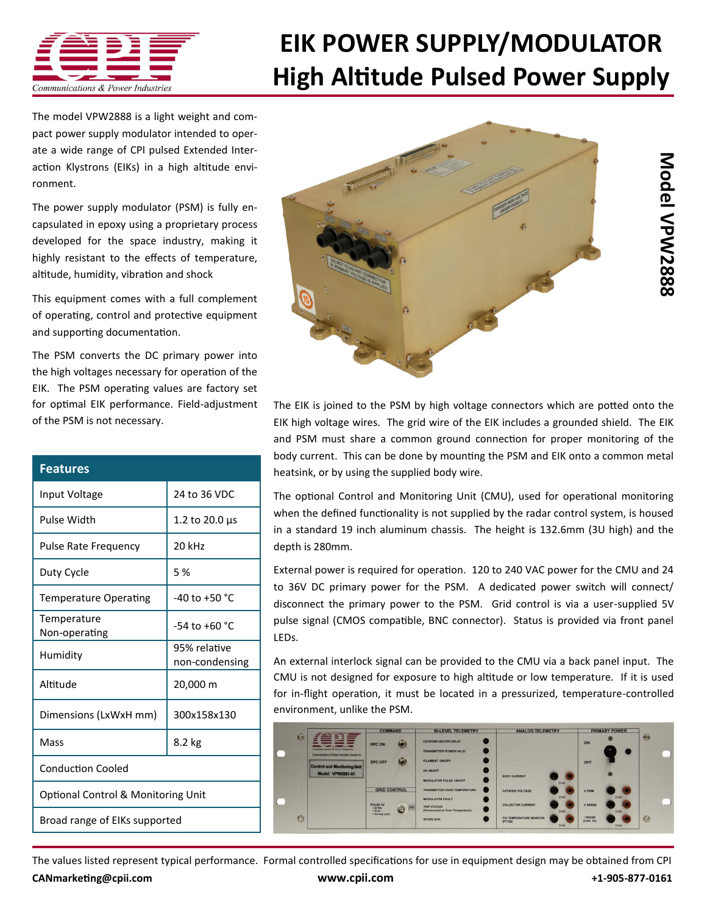

## **[EIK POWER SUPPLY/MODULATOR](http://www.cpii.com/product.cfm/7/40/282) High Altitude Pulsed Power Supply**

The model VPW2888 is a light weight and compact power supply modulator intended to operate a wide range of [CPI pulsed Extended Inter](http://www.cpii.com/product.cfm/7/40)[action Klystrons \(EIKs\)](http://www.cpii.com/product.cfm/7/40) in a high altitude environment.

The power supply modulator (PSM) is fully encapsulated in epoxy using a proprietary process developed for the space industry, making it highly resistant to the effects of temperature, altitude, humidity, vibration and shock

This equipment comes with a full complement of operating, control and protective equipment and supporting documentation.

The PSM converts the DC primary power into the high voltages necessary for operation of the EIK. The PSM operating values are factory set for optimal EIK performance. Field-adjustment of the PSM is not necessary.

| <b>Features</b>                               |                                |
|-----------------------------------------------|--------------------------------|
| Input Voltage                                 | 24 to 36 VDC                   |
| Pulse Width                                   | 1.2 to 20.0 µs                 |
| <b>Pulse Rate Frequency</b>                   | 20 kHz                         |
| Duty Cycle                                    | 5 %                            |
| <b>Temperature Operating</b>                  | $-40$ to $+50$ °C              |
| Temperature<br>Non-operating                  | $-54$ to $+60$ °C              |
| Humidity                                      | 95% relative<br>non-condensing |
| Altitude                                      | 20,000 m                       |
| Dimensions (LxWxH mm)                         | 300x158x130                    |
| Mass                                          | 8.2 kg                         |
| <b>Conduction Cooled</b>                      |                                |
| <b>Optional Control &amp; Monitoring Unit</b> |                                |
| Broad range of EIKs supported                 |                                |



The EIK is joined to the PSM by high voltage connectors which are potted onto the EIK high voltage wires. The grid wire of the EIK includes a grounded shield. The EIK and PSM must share a common ground connection for proper monitoring of the body current. This can be done by mounting the PSM and EIK onto a common metal heatsink, or by using the supplied body wire.

The optional Control and Monitoring Unit (CMU), used for operational monitoring when the defined functionality is not supplied by the radar control system, is housed in a standard 19 inch aluminum chassis. The height is 132.6mm (3U high) and the depth is 280mm.

External power is required for operation. 120 to 240 VAC power for the CMU and 24 to 36V DC primary power for the PSM. A dedicated power switch will connect/ disconnect the primary power to the PSM. Grid control is via a user-supplied 5V pulse signal (CMOS compatible, BNC connector). Status is provided via front panel LEDs.

An external interlock signal can be provided to the CMU via a back panel input. The CMU is not designed for exposure to high altitude or low temperature. If it is used for in-flight operation, it must be located in a pressurized, temperature-controlled environment, unlike the PSM.



The values listed represent typical performance. Formal controlled specifications for use in equipment design may be obtained from CPI **[CANmarketing@cpii.com](mailto:CANmarketing@cpii.com) [www.cpii.com](http://www.cpii.com) +1-905-877-0161**